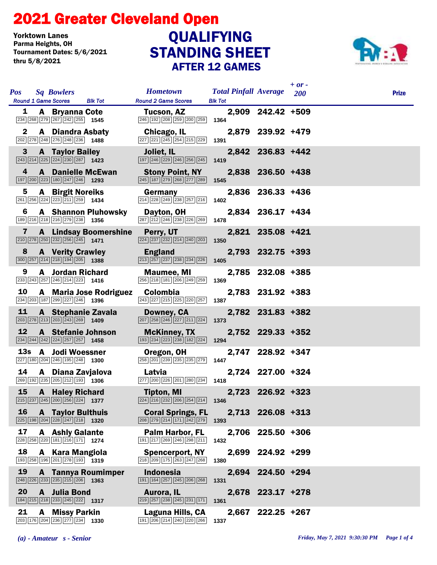## STANDING SHEET 2021 Greater Cleveland Open AFTER 12 GAMES Yorktown Lanes<br>Parma Heights, OH Tournament Dates: 5/6/2021 thru 5/8/2021 **QUALIFYING**



| <b>Sq Bowlers</b><br><b>Pos</b><br><b>Round 1 Game Scores</b><br><b>Blk Tot</b>                                                           | <b>Hometown</b><br><b>Round 2 Game Scores</b>                                                    | <b>Total Pinfall Average</b><br><b>Blk Tot</b> |                   | $+$ or -<br><b>200</b> | <b>Prize</b> |
|-------------------------------------------------------------------------------------------------------------------------------------------|--------------------------------------------------------------------------------------------------|------------------------------------------------|-------------------|------------------------|--------------|
| 1<br>A Bryanna Cote<br>$\boxed{234}\boxed{268}\boxed{279}\boxed{267}\boxed{242}\boxed{255}$ 1545                                          | Tucson, AZ<br>246 192 208 259 200 259 1364                                                       |                                                | 2,909 242.42 +509 |                        |              |
| 2<br><b>A</b> Diandra Asbaty<br>202 278 248 276 248 236 1488                                                                              | Chicago, IL<br>227 221 245 254 215 229                                                           | 1391                                           | 2,879 239.92 +479 |                        |              |
| $\mathbf{3}$<br><b>A</b> Taylor Bailey<br>$\boxed{243}$ $\boxed{214}$ $\boxed{225}$ $\boxed{224}$ $\boxed{230}$ $\boxed{287}$ <b>1423</b> | Joliet, IL<br>197 246 229 246 256 245                                                            | 1419                                           | 2,842 236.83 +442 |                        |              |
| 4<br><b>A</b> Danielle McEwan<br>197 200 223 180 247 246 1293                                                                             | <b>Stony Point, NY</b><br>245 187 279 268 277 289                                                | 1545                                           | 2,838 236.50 +438 |                        |              |
| 5<br><b>A</b> Birgit Noreiks<br>261 256 224 223 211 259 1434                                                                              | Germany<br>214 228 249 238 257 216                                                               | 1402                                           | 2,836 236.33 +436 |                        |              |
| 6<br><b>A</b> Shannon Pluhowsky<br>189 216 218 216 279 238 1356                                                                           | Dayton, OH<br>287 212 246 238 226 269                                                            | 1478                                           | 2,834 236.17 +434 |                        |              |
| 7<br><b>A</b> Lindsay Boomershine<br>$\boxed{210}$ $\boxed{278}$ $\boxed{250}$ $\boxed{232}$ $\boxed{256}$ $\boxed{245}$ <b>1471</b>      | Perry, UT<br>224 237 232 214 240 203                                                             | 1350                                           | 2,821 235.08 +421 |                        |              |
| 8<br><b>A</b> Verity Crawley<br>$\boxed{300}$ $\boxed{257}$ $\boxed{214}$ $\boxed{218}$ $\boxed{194}$ $\boxed{205}$ <b>1388</b>           | <b>England</b><br>213 257 237 238 234 226                                                        | 1405                                           | 2,793 232.75 +393 |                        |              |
| 9<br><b>A</b> Jordan Richard<br>233 243 257 246 214 223 1416                                                                              | Maumee, MI<br>256 218 181 206 249 259                                                            | 1369                                           | 2,785 232.08 +385 |                        |              |
| 10<br>A Maria Jose Rodriguez<br>234 203 187 299 227 246 1396                                                                              | <b>Colombia</b><br>243 227 215 225 220 257                                                       | 1387                                           | 2,783 231.92 +383 |                        |              |
| 11<br>A Stephanie Zavala<br>$\boxed{203}$ $\boxed{278}$ $\boxed{213}$ $\boxed{203}$ $\boxed{243}$ $\boxed{269}$ <b>1409</b>               | Downey, CA<br>207 258 246 227 211 224                                                            | 1373                                           | 2,782 231.83 +382 |                        |              |
| 12<br>A Stefanie Johnson<br>$\begin{array}{ c c c c c c }\n\hline\n 234 & 244 & 242 & 224 & 257 & 257 & \textbf{1458} \end{array}$        | <b>McKinney, TX</b><br>193 234 223 238 182 224                                                   | 1294                                           | 2,752 229.33 +352 |                        |              |
| 13s A Jodi Woessner<br>227 180 204 246 195 248 1300                                                                                       | Oregon, OH<br>258 201 239 235 235 279 1447                                                       |                                                | 2,747 228.92 +347 |                        |              |
| 14<br>A Diana Zavjalova<br>269 192 235 205 212 193 1306                                                                                   | Latvia<br>277 200 226 201 280 234 1418                                                           |                                                | 2,724 227.00 +324 |                        |              |
| 15 A Haley Richard<br>$\boxed{215}$ $\boxed{237}$ $\boxed{245}$ $\boxed{200}$ $\boxed{256}$ $\boxed{224}$ <b>1377</b>                     | <b>Tipton, MI</b><br>$\overline{ 224   216   232   206   254   214 }$ 1346                       |                                                | 2,723 226.92 +323 |                        |              |
| 16<br><b>A</b> Taylor Bulthuis<br>225 198 204 228 247 218 1320                                                                            | <b>Coral Springs, FL</b><br>$\boxed{208}\boxed{279}\boxed{214}\boxed{171}\boxed{242}\boxed{279}$ | 1393                                           | 2,713 226.08 +313 |                        |              |
| 17<br><b>A</b> Ashly Galante<br>$\boxed{228}\boxed{258}\boxed{220}\boxed{181}\boxed{216}\boxed{171}$ 1274                                 | <b>Palm Harbor, FL</b><br>191 217 269 246 298 211                                                | 1432                                           | 2,706 225.50 +306 |                        |              |
| 18<br>A Kara Mangiola<br>193 258 196 201 278 193 1319                                                                                     | <b>Spencerport, NY</b><br>218 209 175 263 247 268                                                | 1380                                           | 2,699 224.92 +299 |                        |              |
| 19<br><b>A</b> Tannya Roumimper<br>248 226 233 235 215 206 1363                                                                           | <b>Indonesia</b><br>191 164 257 245 206 268                                                      | 1331                                           | 2,694 224.50 +294 |                        |              |
| <b>20</b><br>A Julia Bond<br>$\boxed{184}$ $\boxed{215}$ $\boxed{218}$ $\boxed{233}$ $\boxed{245}$ $\boxed{222}$ <b>1317</b>              | Aurora, IL<br>219 257 238 245 231 171                                                            | 1361                                           | 2,678 223.17 +278 |                        |              |
| 21<br>A Missy Parkin<br>$\boxed{203}$ 176 $\boxed{204}$ $\boxed{236}$ $\boxed{277}$ $\boxed{234}$ 1330                                    | Laguna Hills, CA<br>191 206 214 240 220 266                                                      | 1337                                           | 2,667 222.25 +267 |                        |              |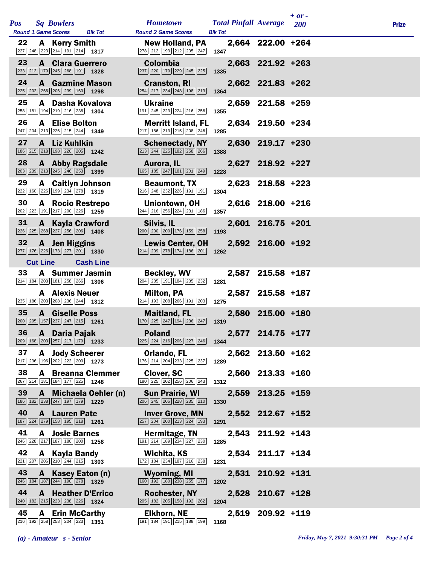|  | <b>Pos</b>      | <b>Sq Bowlers</b>                                                                                                          |                          | <b>Hometown</b>                                                                                                | <b>Total Pinfall Average</b> 200 |                   | $+ or -$ | <b>Prize</b> |
|--|-----------------|----------------------------------------------------------------------------------------------------------------------------|--------------------------|----------------------------------------------------------------------------------------------------------------|----------------------------------|-------------------|----------|--------------|
|  |                 | Round 1 Game Scores Blk Tot                                                                                                |                          | <b>Round 2 Game Scores</b>                                                                                     | <b>Blk Tot</b>                   |                   |          |              |
|  | 22              | A Kerry Smith<br>$\boxed{227}$ $\boxed{248}$ $\boxed{223}$ $\boxed{214}$ $\boxed{191}$ $\boxed{214}$ <b>1317</b>           |                          | <b>New Holland, PA</b><br>278 212 193 212 205 247                                                              | 1347                             | 2,664 222.00 +264 |          |              |
|  | 23              | <b>A</b> Clara Guerrero<br>$\boxed{233}$ $\boxed{212}$ 179 $\boxed{245}$ $\boxed{268}$ 191 1328                            |                          | <b>Colombia</b><br>237 220 179 229 245 225                                                                     | 1335                             | 2,663 221.92 +263 |          |              |
|  | 24              | <b>A</b> Gazmine Mason<br>$\boxed{225}$ $\boxed{202}$ $\boxed{266}$ $\boxed{206}$ $\boxed{239}$ $\boxed{160}$ <b>1298</b>  |                          | <b>Cranston, RI</b><br>254 217 234 248 198 213                                                                 | 1364                             | 2,662 221.83 +262 |          |              |
|  | 25              | A Dasha Kovalova<br>258 181 194 219 216 236 1304                                                                           |                          | <b>Ukraine</b><br>191 245 223 224 216 256                                                                      | 1355                             | 2,659 221.58 +259 |          |              |
|  | 26              | <b>A</b> Elise Bolton<br>247 204 213 226 215 244 1349                                                                      |                          | <b>Merritt Island, FL</b><br>217 186 213 215 208 246                                                           | 1285                             | 2,634 219.50 +234 |          |              |
|  | 27              | A Liz Kuhlkin<br>186 215 218 198 220 205 1242                                                                              |                          | <b>Schenectady, NY</b><br>213 244 225 182 258 266                                                              | 1388                             | 2,630 219.17 +230 |          |              |
|  | 28              | A Abby Ragsdale<br>$\boxed{203}$ $\boxed{239}$ $\boxed{213}$ $\boxed{245}$ $\boxed{246}$ $\boxed{253}$ <b>1399</b>         |                          | Aurora, IL<br>165 185 247 181 201 249                                                                          | 1228                             | 2,627 218.92 +227 |          |              |
|  | 29              | <b>A</b> Caitlyn Johnson<br>222 160 226 199 234 278 1319                                                                   |                          | <b>Beaumont, TX</b><br>216 248 232 226 191 191                                                                 | 1304                             | 2,623 218.58 +223 |          |              |
|  | 30              | A Rocio Restrepo<br>$\boxed{202}\boxed{223}\boxed{191}\boxed{217}\boxed{200}\boxed{226}$ 1259                              |                          | Uniontown, OH<br>$\boxed{244}\boxed{216}\boxed{256}\boxed{224}\boxed{231}\boxed{186}$ 1357                     |                                  | 2,616 218.00 +216 |          |              |
|  | 31              | <b>A</b> Kayla Crawford<br>$\boxed{226}$ $\boxed{225}$ $\boxed{268}$ $\boxed{227}$ $\boxed{256}$ $\boxed{206}$ <b>1408</b> |                          | Silvis, IL<br>$\boxed{200}$ $\boxed{200}$ $\boxed{200}$ $\boxed{176}$ $\boxed{159}$ $\boxed{258}$ <b>1193</b>  |                                  | 2,601 216.75 +201 |          |              |
|  | 32              | A Jen Higgins<br>$\boxed{277}$ 176 226 173 277 201 1330                                                                    |                          | <b>Lewis Center, OH</b><br>$\boxed{214}$ $\boxed{209}$ $\boxed{278}$ $\boxed{174}$ $\boxed{186}$ $\boxed{201}$ | 1262                             | 2,592 216.00 +192 |          |              |
|  |                 | <b>Cut Line</b>                                                                                                            | <b>Cash Line</b>         |                                                                                                                |                                  |                   |          |              |
|  | 33              | <b>A</b> Summer Jasmin<br>$\boxed{214}$ 184 $\boxed{203}$ 181 $\boxed{258}$ 266 1306                                       |                          | <b>Beckley, WV</b><br>204 235 191 184 235 232                                                                  | 1281                             | 2,587 215.58 +187 |          |              |
|  |                 | <b>A</b> Alexis Neuer<br>235 186 203 208 236 244 1312                                                                      |                          | Milton, PA<br>$\boxed{214}$ 193 208 266 191 203 1275                                                           |                                  | 2,587 215.58 +187 |          |              |
|  | 35 <sub>o</sub> | A Giselle Poss<br>$\boxed{200}$ $\boxed{205}$ 157 237 247 215 1261                                                         |                          | <b>Maitland, FL</b><br>$\boxed{170}$ $\boxed{225}$ $\boxed{247}$ $\boxed{194}$ $\boxed{236}$ $\boxed{247}$     | 1319                             | 2,580 215.00 +180 |          |              |
|  |                 | 36 A Daria Pajak<br>$\boxed{209}$ 168 203 257 217 179 1233                                                                 |                          | <b>Poland</b><br>225 224 216 206 227 246 1344                                                                  |                                  | 2,577 214.75 +177 |          |              |
|  | 37              | <b>A</b> Jody Scheerer<br>$\boxed{217}$ $\boxed{236}$ $\boxed{196}$ $\boxed{202}$ $\boxed{222}$ $\boxed{200}$ <b>1273</b>  |                          | Orlando, FL<br>176 214 204 233 225 237                                                                         | 1289                             | 2,562 213.50 +162 |          |              |
|  | 38              | 267 214 181 184 177 225 1248                                                                                               | <b>A</b> Breanna Clemmer | <b>Clover, SC</b><br>180 225 202 256 206 243                                                                   | 1312                             | 2,560 213.33 +160 |          |              |
|  | 39              | 186 182 238 247 197 179 1229                                                                                               | A Michaela Oehler (n)    | <b>Sun Prairie, WI</b><br>206 245 206 228 235 210                                                              | 1330                             | 2,559 213.25 +159 |          |              |
|  |                 | 40 A Lauren Pate<br>187 224 279 158 195 218 1261                                                                           |                          | <b>Inver Grove, MN</b><br>257 204 200 213 224 193                                                              | 1291                             | 2,552 212.67 +152 |          |              |
|  | 41              | <b>A</b> Josie Barnes<br>246 228 217 187 180 200 1258                                                                      |                          | Hermitage, TN<br>191 214 189 234 227 230                                                                       | 1285                             | 2,543 211.92 +143 |          |              |
|  | 42              | <b>A</b> Kayla Bandy<br>$\boxed{221}$ $\boxed{207}$ $\boxed{206}$ $\boxed{210}$ $\boxed{244}$ $\boxed{215}$ <b>1303</b>    |                          | Wichita, KS<br>172 184 234 187 216 238                                                                         | 1231                             | 2,534 211.17 +134 |          |              |
|  | 43              | A Kasey Eaton (n)<br>$\boxed{246}$ 184 187 244 190 278 1329                                                                |                          | Wyoming, MI<br>160 192 180 238 255 177                                                                         | 1202                             | 2,531 210.92 +131 |          |              |
|  | 44              | <b>A</b> Heather D'Errico<br>$\boxed{240}$ 182 $\boxed{215}$ 223 238 226 1324                                              |                          | Rochester, NY<br>205 182 205 158 192 262                                                                       | 1204                             | 2,528 210.67 +128 |          |              |
|  | 45              | <b>A</b> Erin McCarthy<br>216 192 258 258 204 223 1351                                                                     |                          | <b>Elkhorn, NE</b><br>191 184 191 215 188 199                                                                  | 1168                             | 2,519 209.92 +119 |          |              |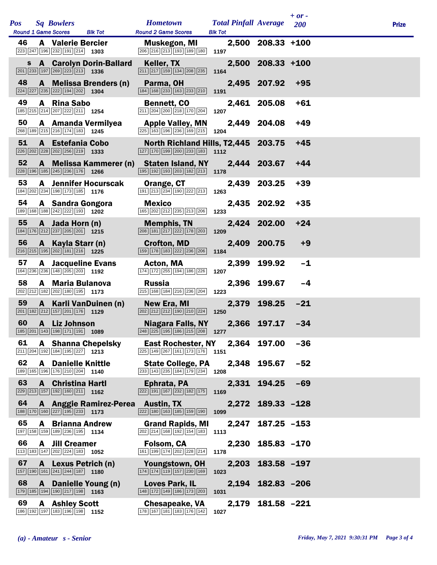| <b>Pos</b> | <b>Sq Bowlers</b>                                                                                                                                         |                                   | <b>Hometown</b>                                                                                                                        | <b>Total Pinfall Average</b> |                   | $+$ or $-$<br>200 | <b>Prize</b> |
|------------|-----------------------------------------------------------------------------------------------------------------------------------------------------------|-----------------------------------|----------------------------------------------------------------------------------------------------------------------------------------|------------------------------|-------------------|-------------------|--------------|
| 46         | <b>Round 1 Game Scores</b><br><b>A</b> Valerie Bercier<br>$\boxed{223}$ $\boxed{247}$ $\boxed{196}$ $\boxed{232}$ $\boxed{191}$ $\boxed{214}$ <b>1303</b> | <b>Blk Tot</b>                    | <b>Round 2 Game Scores</b><br>Muskegon, MI<br>206 216 213 193 189 180                                                                  | <b>Blk Tot</b><br>1197       | 2,500 208.33 +100 |                   |              |
|            | $\boxed{201}$ $\boxed{233}$ $\boxed{197}$ $\boxed{269}$ $\boxed{223}$ $\boxed{213}$ <b>1336</b>                                                           | <b>s</b> A Carolyn Dorin-Ballard  | Keller, TX<br>211 217 159 134 208 235                                                                                                  | 1164                         | 2,500 208.33 +100 |                   |              |
| 48         | $\boxed{224}$ $\boxed{227}$ $\boxed{235}$ $\boxed{222}$ $\boxed{194}$ $\boxed{202}$ <b>1304</b>                                                           | A Melissa Brenders (n)            | Parma, OH<br>184 168 233 163 233 210                                                                                                   | 1191                         | 2,495 207.92      | $+95$             |              |
| 49         | A Rina Sabo<br>185 215 214 207 222 211 1254                                                                                                               |                                   | <b>Bennett, CO</b><br>211 204 200 218 170 204                                                                                          | 1207                         | 2,461 205.08      | $+61$             |              |
| 50         | A Amanda Vermilyea<br>268 189 215 216 174 183 1245                                                                                                        |                                   | <b>Apple Valley, MN</b><br>225 163 196 236 169 215                                                                                     | 1204                         | 2,449 204.08      | $+49$             |              |
| 51         | A Estefania Cobo<br>226 202 228 202 256 219 1333                                                                                                          |                                   | North Richland Hills, T2,445 203.75<br>$\boxed{127}$ $\boxed{170}$ $\boxed{199}$ $\boxed{200}$ $\boxed{233}$ $\boxed{183}$ <b>1112</b> |                              |                   | $+45$             |              |
| 52         | $\boxed{228}$ 196 185 245 236 176 1266                                                                                                                    | A Melissa Kammerer (n)            | <b>Staten Island, NY</b><br>195 192 193 203 182 213                                                                                    | 1178                         | 2,444 203.67      | $+44$             |              |
| 53         | <b>A</b> Jennifer Hocurscak<br>184 202 234 198 173 185 1776                                                                                               |                                   | Orange, CT<br>191 213 234 190 222 213                                                                                                  | 1263                         | 2,439 203.25      | $+39$             |              |
| 54         | A Sandra Gongora<br>189 168 188 242 222 193 1202                                                                                                          |                                   | <b>Mexico</b><br>165 202 212 235 213 206                                                                                               | 1233                         | 2,435 202.92      | $+35$             |              |
| 55         | A Jada Horn (n)<br>184 176 212 237 205 201 1215                                                                                                           |                                   | <b>Memphis, TN</b><br>208 181 217 222 178 203                                                                                          | 1209                         | 2,424 202.00      | $+24$             |              |
| 56         | A Kayla Starr (n)<br>$\boxed{216}$ $\boxed{215}$ $\boxed{195}$ $\boxed{202}$ $\boxed{181}$ $\boxed{216}$ <b>1225</b>                                      |                                   | <b>Crofton, MD</b><br>159 178 183 222 236 206                                                                                          | 1184                         | 2,409 200.75      | $+9$              |              |
| 57         | <b>A</b> Jacqueline Evans<br>164 236 236 148 205 203 1192                                                                                                 |                                   | Acton, MA<br>174 172 255 194 186 226                                                                                                   | 1207                         | 2,399 199.92      | $-1$              |              |
| 58         | A Maria Bulanova<br>202 212 182 202 180 195 1173                                                                                                          |                                   | Russia<br>215 168 184 216 236 204                                                                                                      | 1223                         | 2,396 199.67      | $-4$              |              |
| 59         | A Karli VanDuinen (n)<br>201 182 212 157 201 176 1129                                                                                                     |                                   | New Era, MI<br>$\boxed{202}$ $\boxed{212}$ $\boxed{212}$ $\boxed{190}$ $\boxed{210}$ $\boxed{224}$                                     | 2,379<br>1250                | 198.25            | $-21$             |              |
| 60         | A Liz Johnson<br>185 201 143 198 171 191 1089                                                                                                             |                                   | Niagara Falls, NY<br>248 225 195 186 215 208 1277                                                                                      |                              | 2,366 197.17      | $-34$             |              |
| 61         | <b>A</b> Shanna Chepelsky<br>$\boxed{211}$ $\boxed{204}$ $\boxed{192}$ $\boxed{184}$ $\boxed{195}$ $\boxed{227}$ <b>1213</b>                              |                                   | East Rochester, NY<br>225 149 267 161 173 176 1151                                                                                     |                              | 2,364 197.00      | $-36$             |              |
| 62         | <b>A</b> Danielle Knittle<br>189 165 196 176 210 204 1140                                                                                                 |                                   | <b>State College, PA</b><br>233 143 235 184 179 234                                                                                    | 1208                         | 2,348 195.67      | $-52$             |              |
| 63         | <b>A</b> Christina Hartl<br>$\boxed{229}$ $\boxed{213}$ $\boxed{157}$ $\boxed{192}$ $\boxed{160}$ $\boxed{211}$ <b>1162</b>                               |                                   | Ephrata, PA<br>$\boxed{222}$ 191 167 232 182 175                                                                                       | 1169                         | 2,331 194.25      | $-69$             |              |
| 64         | $\boxed{188}$ $\boxed{170}$ $\boxed{160}$ $\boxed{227}$ $\boxed{195}$ $\boxed{233}$ <b>1173</b>                                                           | A Anggie Ramirez-Perea Austin, TX | $\boxed{222}$ $\boxed{180}$ $\boxed{163}$ $\boxed{185}$ $\boxed{159}$ $\boxed{190}$                                                    | 1099                         | 2,272 189.33 -128 |                   |              |
| 65         | <b>A</b> Brianna Andrew<br>197 158 159 189 236 195 1134                                                                                                   |                                   | <b>Grand Rapids, MI</b><br>202 214 168 192 154 183                                                                                     | 2,247<br>1113                | $187.25 - 153$    |                   |              |
| 66         | <b>A</b> Jill Creamer<br>$\boxed{113}$ 183 147 202 224 183 1052                                                                                           |                                   | Folsom, CA<br>161 199 174 202 228 214                                                                                                  | 2,230<br>1178                | $185.83 - 170$    |                   |              |
| 67         | A Lexus Petrich (n)<br>$\boxed{157}$ 190 161 241 244 187 1180                                                                                             |                                   | Youngstown, OH<br>174 174 119 157 230 169                                                                                              | 2,203<br>1023                | $183.58 - 197$    |                   |              |
| 68         | A Danielle Young (n)<br>179 185 194 190 217 198 1163                                                                                                      |                                   | Loves Park, IL<br>148 172 149 186 173 203                                                                                              | 1031                         | 2,194 182.83 -206 |                   |              |
| 69         | <b>A</b> Ashley Scott<br>186 192 197 183 196 198 1152                                                                                                     |                                   | <b>Chesapeake, VA</b><br>178 167 181 183 176 142                                                                                       | 1027                         | 2,179 181.58 -221 |                   |              |